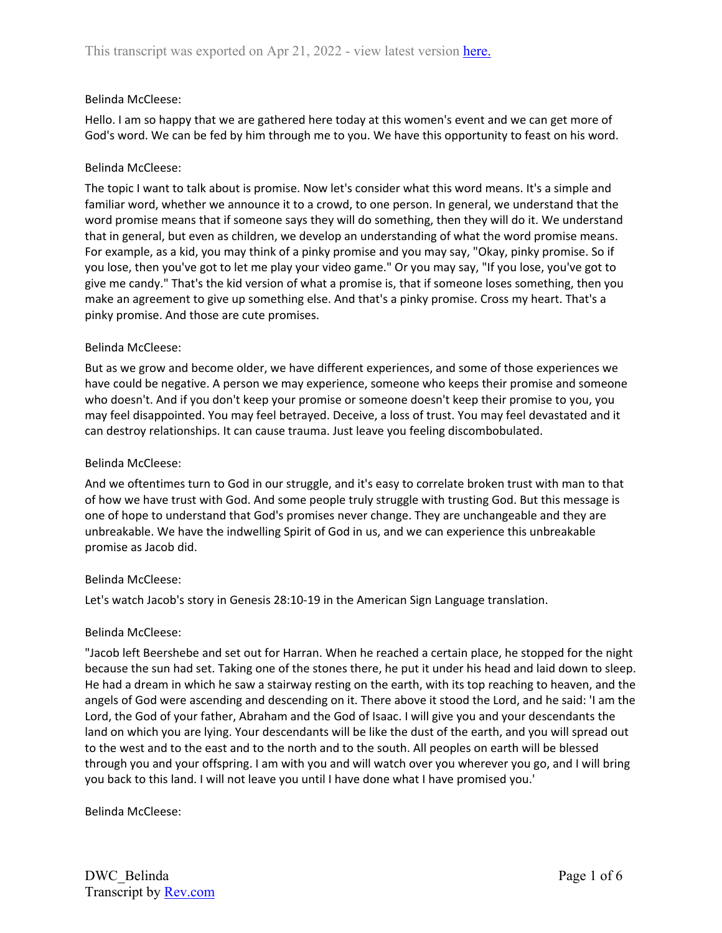### Belinda McCleese:

Hello. I am so happy that we are gathered here today at this women's event and we can get more of God's word. We can be fed by him through me to you. We have this opportunity to feast on his word.

### Belinda McCleese:

The topic I want to talk about is promise. Now let's consider what this word means. It's a simple and familiar word, whether we announce it to a crowd, to one person. In general, we understand that the word promise means that if someone says they will do something, then they will do it. We understand that in general, but even as children, we develop an understanding of what the word promise means. For example, as a kid, you may think of a pinky promise and you may say, "Okay, pinky promise. So if you lose, then you've got to let me play your video game." Or you may say, "If you lose, you've got to give me candy." That's the kid version of what a promise is, that if someone loses something, then you make an agreement to give up something else. And that's a pinky promise. Cross my heart. That's a pinky promise. And those are cute promises.

### Belinda McCleese:

But as we grow and become older, we have different experiences, and some of those experiences we have could be negative. A person we may experience, someone who keeps their promise and someone who doesn't. And if you don't keep your promise or someone doesn't keep their promise to you, you may feel disappointed. You may feel betrayed. Deceive, a loss of trust. You may feel devastated and it can destroy relationships. It can cause trauma. Just leave you feeling discombobulated.

### Belinda McCleese:

And we oftentimes turn to God in our struggle, and it's easy to correlate broken trust with man to that of how we have trust with God. And some people truly struggle with trusting God. But this message is one of hope to understand that God's promises never change. They are unchangeable and they are unbreakable. We have the indwelling Spirit of God in us, and we can experience this unbreakable promise as Jacob did.

#### Belinda McCleese:

Let's watch Jacob's story in Genesis 28:10-19 in the American Sign Language translation.

#### Belinda McCleese:

"Jacob left Beershebe and set out for Harran. When he reached a certain place, he stopped for the night because the sun had set. Taking one of the stones there, he put it under his head and laid down to sleep. He had a dream in which he saw a stairway resting on the earth, with its top reaching to heaven, and the angels of God were ascending and descending on it. There above it stood the Lord, and he said: 'I am the Lord, the God of your father, Abraham and the God of Isaac. I will give you and your descendants the land on which you are lying. Your descendants will be like the dust of the earth, and you will spread out to the west and to the east and to the north and to the south. All peoples on earth will be blessed through you and your offspring. I am with you and will watch over you wherever you go, and I will bring you back to this land. I will not leave you until I have done what I have promised you.'

Belinda McCleese: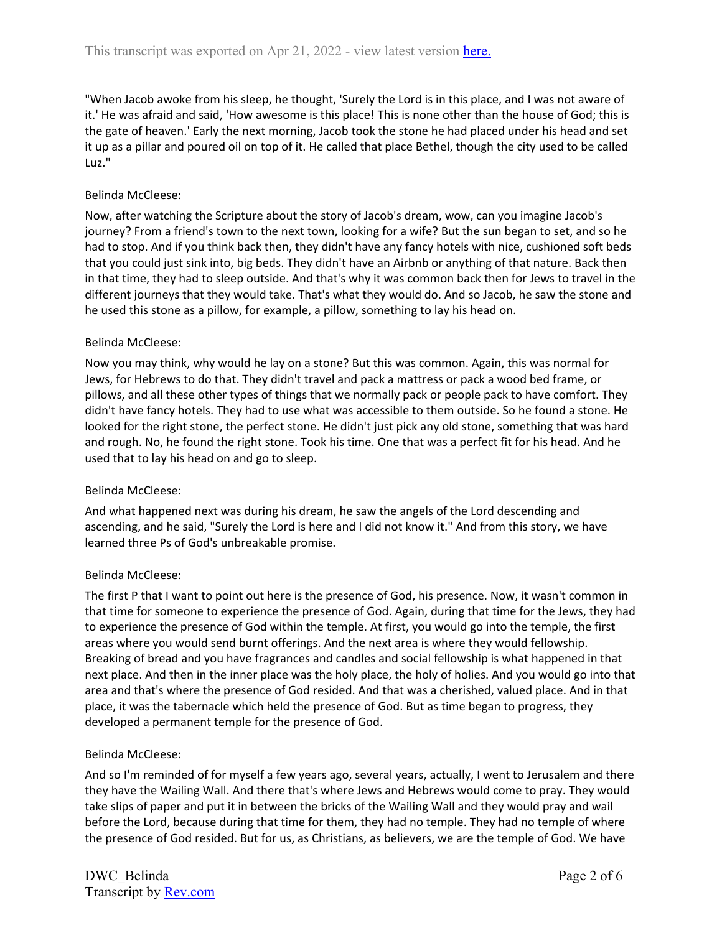"When Jacob awoke from his sleep, he thought, 'Surely the Lord is in this place, and I was not aware of it.' He was afraid and said, 'How awesome is this place! This is none other than the house of God; this is the gate of heaven.' Early the next morning, Jacob took the stone he had placed under his head and set it up as a pillar and poured oil on top of it. He called that place Bethel, though the city used to be called Luz."

# Belinda McCleese:

Now, after watching the Scripture about the story of Jacob's dream, wow, can you imagine Jacob's journey? From a friend's town to the next town, looking for a wife? But the sun began to set, and so he had to stop. And if you think back then, they didn't have any fancy hotels with nice, cushioned soft beds that you could just sink into, big beds. They didn't have an Airbnb or anything of that nature. Back then in that time, they had to sleep outside. And that's why it was common back then for Jews to travel in the different journeys that they would take. That's what they would do. And so Jacob, he saw the stone and he used this stone as a pillow, for example, a pillow, something to lay his head on.

## Belinda McCleese:

Now you may think, why would he lay on a stone? But this was common. Again, this was normal for Jews, for Hebrews to do that. They didn't travel and pack a mattress or pack a wood bed frame, or pillows, and all these other types of things that we normally pack or people pack to have comfort. They didn't have fancy hotels. They had to use what was accessible to them outside. So he found a stone. He looked for the right stone, the perfect stone. He didn't just pick any old stone, something that was hard and rough. No, he found the right stone. Took his time. One that was a perfect fit for his head. And he used that to lay his head on and go to sleep.

## Belinda McCleese:

And what happened next was during his dream, he saw the angels of the Lord descending and ascending, and he said, "Surely the Lord is here and I did not know it." And from this story, we have learned three Ps of God's unbreakable promise.

## Belinda McCleese:

The first P that I want to point out here is the presence of God, his presence. Now, it wasn't common in that time for someone to experience the presence of God. Again, during that time for the Jews, they had to experience the presence of God within the temple. At first, you would go into the temple, the first areas where you would send burnt offerings. And the next area is where they would fellowship. Breaking of bread and you have fragrances and candles and social fellowship is what happened in that next place. And then in the inner place was the holy place, the holy of holies. And you would go into that area and that's where the presence of God resided. And that was a cherished, valued place. And in that place, it was the tabernacle which held the presence of God. But as time began to progress, they developed a permanent temple for the presence of God.

## Belinda McCleese:

And so I'm reminded of for myself a few years ago, several years, actually, I went to Jerusalem and there they have the Wailing Wall. And there that's where Jews and Hebrews would come to pray. They would take slips of paper and put it in between the bricks of the Wailing Wall and they would pray and wail before the Lord, because during that time for them, they had no temple. They had no temple of where the presence of God resided. But for us, as Christians, as believers, we are the temple of God. We have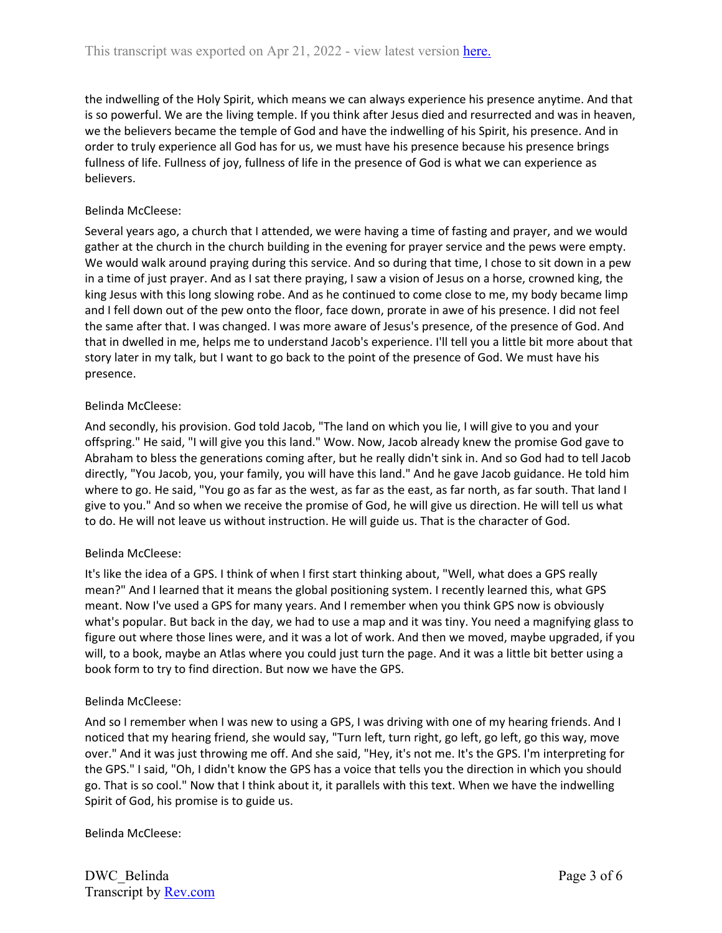the indwelling of the Holy Spirit, which means we can always experience his presence anytime. And that is so powerful. We are the living temple. If you think after Jesus died and resurrected and was in heaven, we the believers became the temple of God and have the indwelling of his Spirit, his presence. And in order to truly experience all God has for us, we must have his presence because his presence brings fullness of life. Fullness of joy, fullness of life in the presence of God is what we can experience as believers.

# Belinda McCleese:

Several years ago, a church that I attended, we were having a time of fasting and prayer, and we would gather at the church in the church building in the evening for prayer service and the pews were empty. We would walk around praying during this service. And so during that time, I chose to sit down in a pew in a time of just prayer. And as I sat there praying, I saw a vision of Jesus on a horse, crowned king, the king Jesus with this long slowing robe. And as he continued to come close to me, my body became limp and I fell down out of the pew onto the floor, face down, prorate in awe of his presence. I did not feel the same after that. I was changed. I was more aware of Jesus's presence, of the presence of God. And that in dwelled in me, helps me to understand Jacob's experience. I'll tell you a little bit more about that story later in my talk, but I want to go back to the point of the presence of God. We must have his presence.

# Belinda McCleese:

And secondly, his provision. God told Jacob, "The land on which you lie, I will give to you and your offspring." He said, "I will give you this land." Wow. Now, Jacob already knew the promise God gave to Abraham to bless the generations coming after, but he really didn't sink in. And so God had to tell Jacob directly, "You Jacob, you, your family, you will have this land." And he gave Jacob guidance. He told him where to go. He said, "You go as far as the west, as far as the east, as far north, as far south. That land I give to you." And so when we receive the promise of God, he will give us direction. He will tell us what to do. He will not leave us without instruction. He will guide us. That is the character of God.

# Belinda McCleese:

It's like the idea of a GPS. I think of when I first start thinking about, "Well, what does a GPS really mean?" And I learned that it means the global positioning system. I recently learned this, what GPS meant. Now I've used a GPS for many years. And I remember when you think GPS now is obviously what's popular. But back in the day, we had to use a map and it was tiny. You need a magnifying glass to figure out where those lines were, and it was a lot of work. And then we moved, maybe upgraded, if you will, to a book, maybe an Atlas where you could just turn the page. And it was a little bit better using a book form to try to find direction. But now we have the GPS.

# Belinda McCleese:

And so I remember when I was new to using a GPS, I was driving with one of my hearing friends. And I noticed that my hearing friend, she would say, "Turn left, turn right, go left, go left, go this way, move over." And it was just throwing me off. And she said, "Hey, it's not me. It's the GPS. I'm interpreting for the GPS." I said, "Oh, I didn't know the GPS has a voice that tells you the direction in which you should go. That is so cool." Now that I think about it, it parallels with this text. When we have the indwelling Spirit of God, his promise is to guide us.

Belinda McCleese: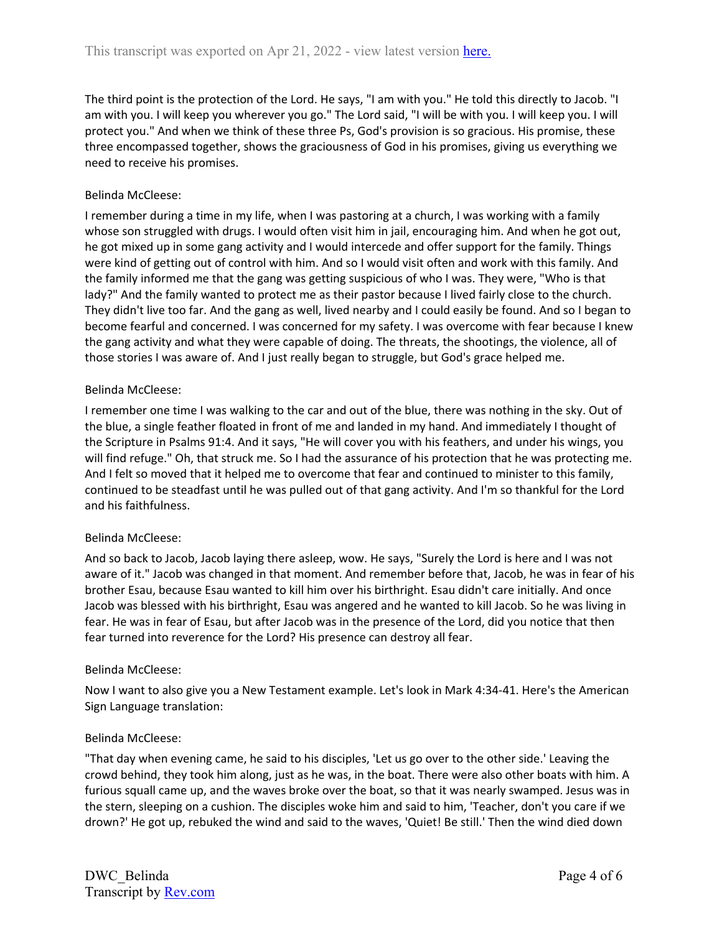The third point is the protection of the Lord. He says, "I am with you." He told this directly to Jacob. "I am with you. I will keep you wherever you go." The Lord said, "I will be with you. I will keep you. I will protect you." And when we think of these three Ps, God's provision is so gracious. His promise, these three encompassed together, shows the graciousness of God in his promises, giving us everything we need to receive his promises.

# Belinda McCleese:

I remember during a time in my life, when I was pastoring at a church, I was working with a family whose son struggled with drugs. I would often visit him in jail, encouraging him. And when he got out, he got mixed up in some gang activity and I would intercede and offer support for the family. Things were kind of getting out of control with him. And so I would visit often and work with this family. And the family informed me that the gang was getting suspicious of who I was. They were, "Who is that lady?" And the family wanted to protect me as their pastor because I lived fairly close to the church. They didn't live too far. And the gang as well, lived nearby and I could easily be found. And so I began to become fearful and concerned. I was concerned for my safety. I was overcome with fear because I knew the gang activity and what they were capable of doing. The threats, the shootings, the violence, all of those stories I was aware of. And I just really began to struggle, but God's grace helped me.

## Belinda McCleese:

I remember one time I was walking to the car and out of the blue, there was nothing in the sky. Out of the blue, a single feather floated in front of me and landed in my hand. And immediately I thought of the Scripture in Psalms 91:4. And it says, "He will cover you with his feathers, and under his wings, you will find refuge." Oh, that struck me. So I had the assurance of his protection that he was protecting me. And I felt so moved that it helped me to overcome that fear and continued to minister to this family, continued to be steadfast until he was pulled out of that gang activity. And I'm so thankful for the Lord and his faithfulness.

## Belinda McCleese:

And so back to Jacob, Jacob laying there asleep, wow. He says, "Surely the Lord is here and I was not aware of it." Jacob was changed in that moment. And remember before that, Jacob, he was in fear of his brother Esau, because Esau wanted to kill him over his birthright. Esau didn't care initially. And once Jacob was blessed with his birthright, Esau was angered and he wanted to kill Jacob. So he was living in fear. He was in fear of Esau, but after Jacob was in the presence of the Lord, did you notice that then fear turned into reverence for the Lord? His presence can destroy all fear.

## Belinda McCleese:

Now I want to also give you a New Testament example. Let's look in Mark 4:34-41. Here's the American Sign Language translation:

## Belinda McCleese:

"That day when evening came, he said to his disciples, 'Let us go over to the other side.' Leaving the crowd behind, they took him along, just as he was, in the boat. There were also other boats with him. A furious squall came up, and the waves broke over the boat, so that it was nearly swamped. Jesus was in the stern, sleeping on a cushion. The disciples woke him and said to him, 'Teacher, don't you care if we drown?' He got up, rebuked the wind and said to the waves, 'Quiet! Be still.' Then the wind died down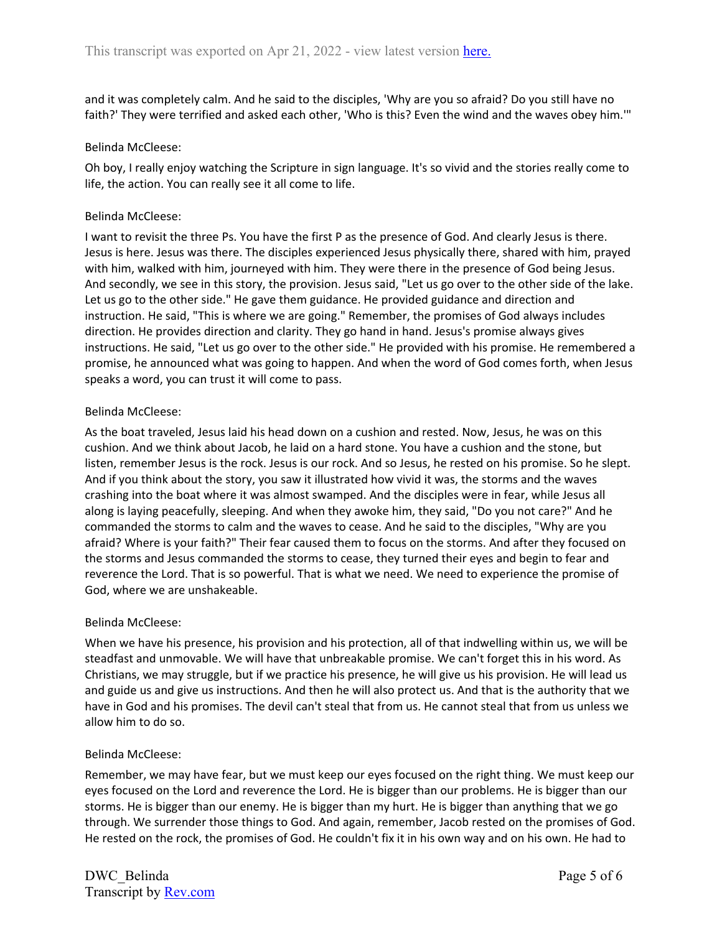and it was completely calm. And he said to the disciples, 'Why are you so afraid? Do you still have no faith?' They were terrified and asked each other, 'Who is this? Even the wind and the waves obey him.'"

### Belinda McCleese:

Oh boy, I really enjoy watching the Scripture in sign language. It's so vivid and the stories really come to life, the action. You can really see it all come to life.

### Belinda McCleese:

I want to revisit the three Ps. You have the first P as the presence of God. And clearly Jesus is there. Jesus is here. Jesus was there. The disciples experienced Jesus physically there, shared with him, prayed with him, walked with him, journeyed with him. They were there in the presence of God being Jesus. And secondly, we see in this story, the provision. Jesus said, "Let us go over to the other side of the lake. Let us go to the other side." He gave them guidance. He provided guidance and direction and instruction. He said, "This is where we are going." Remember, the promises of God always includes direction. He provides direction and clarity. They go hand in hand. Jesus's promise always gives instructions. He said, "Let us go over to the other side." He provided with his promise. He remembered a promise, he announced what was going to happen. And when the word of God comes forth, when Jesus speaks a word, you can trust it will come to pass.

## Belinda McCleese:

As the boat traveled, Jesus laid his head down on a cushion and rested. Now, Jesus, he was on this cushion. And we think about Jacob, he laid on a hard stone. You have a cushion and the stone, but listen, remember Jesus is the rock. Jesus is our rock. And so Jesus, he rested on his promise. So he slept. And if you think about the story, you saw it illustrated how vivid it was, the storms and the waves crashing into the boat where it was almost swamped. And the disciples were in fear, while Jesus all along is laying peacefully, sleeping. And when they awoke him, they said, "Do you not care?" And he commanded the storms to calm and the waves to cease. And he said to the disciples, "Why are you afraid? Where is your faith?" Their fear caused them to focus on the storms. And after they focused on the storms and Jesus commanded the storms to cease, they turned their eyes and begin to fear and reverence the Lord. That is so powerful. That is what we need. We need to experience the promise of God, where we are unshakeable.

## Belinda McCleese:

When we have his presence, his provision and his protection, all of that indwelling within us, we will be steadfast and unmovable. We will have that unbreakable promise. We can't forget this in his word. As Christians, we may struggle, but if we practice his presence, he will give us his provision. He will lead us and guide us and give us instructions. And then he will also protect us. And that is the authority that we have in God and his promises. The devil can't steal that from us. He cannot steal that from us unless we allow him to do so.

#### Belinda McCleese:

Remember, we may have fear, but we must keep our eyes focused on the right thing. We must keep our eyes focused on the Lord and reverence the Lord. He is bigger than our problems. He is bigger than our storms. He is bigger than our enemy. He is bigger than my hurt. He is bigger than anything that we go through. We surrender those things to God. And again, remember, Jacob rested on the promises of God. He rested on the rock, the promises of God. He couldn't fix it in his own way and on his own. He had to